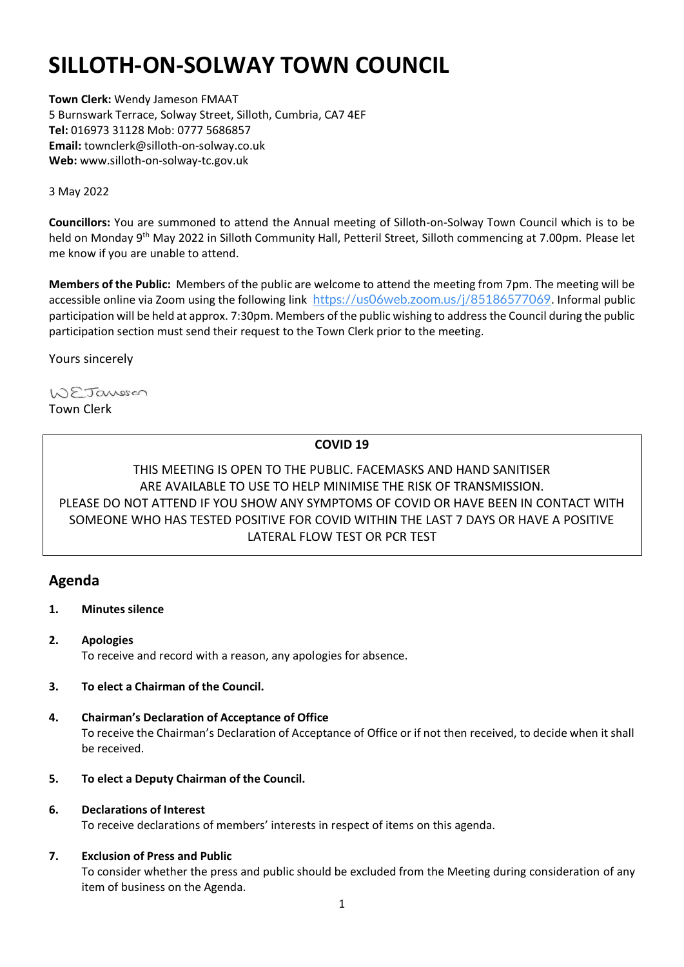# **SILLOTH-ON-SOLWAY TOWN COUNCIL**

**Town Clerk:** Wendy Jameson FMAAT 5 Burnswark Terrace, Solway Street, Silloth, Cumbria, CA7 4EF **Tel:** 016973 31128 Mob: 0777 5686857 **Email:** townclerk@silloth-on-solway.co.uk **Web:** www.silloth-on-solway-tc.gov.uk

3 May 2022

**Councillors:** You are summoned to attend the Annual meeting of Silloth-on-Solway Town Council which is to be held on Monday 9<sup>th</sup> May 2022 in Silloth Community Hall, Petteril Street, Silloth commencing at 7.00pm. Please let me know if you are unable to attend.

**Members of the Public:** Members of the public are welcome to attend the meeting from 7pm. The meeting will be accessible online via Zoom using the following link <https://us06web.zoom.us/j/85186577069>. Informal public participation will be held at approx. 7:30pm. Members of the public wishing to address the Council during the public participation section must send their request to the Town Clerk prior to the meeting.

Yours sincerely

WEJansson Town Clerk

## **COVID 19**

# THIS MEETING IS OPEN TO THE PUBLIC. FACEMASKS AND HAND SANITISER ARE AVAILABLE TO USE TO HELP MINIMISE THE RISK OF TRANSMISSION. PLEASE DO NOT ATTEND IF YOU SHOW ANY SYMPTOMS OF COVID OR HAVE BEEN IN CONTACT WITH SOMEONE WHO HAS TESTED POSITIVE FOR COVID WITHIN THE LAST 7 DAYS OR HAVE A POSITIVE LATERAL FLOW TEST OR PCR TEST

# **Agenda**

- **1. Minutes silence**
- **2. Apologies**  To receive and record with a reason, any apologies for absence.
- **3. To elect a Chairman of the Council.**
- **4. Chairman's Declaration of Acceptance of Office** To receive the Chairman's Declaration of Acceptance of Office or if not then received, to decide when it shall be received.
- **5. To elect a Deputy Chairman of the Council.**

## **6. Declarations of Interest**

To receive declarations of members' interests in respect of items on this agenda.

## **7. Exclusion of Press and Public**

To consider whether the press and public should be excluded from the Meeting during consideration of any item of business on the Agenda.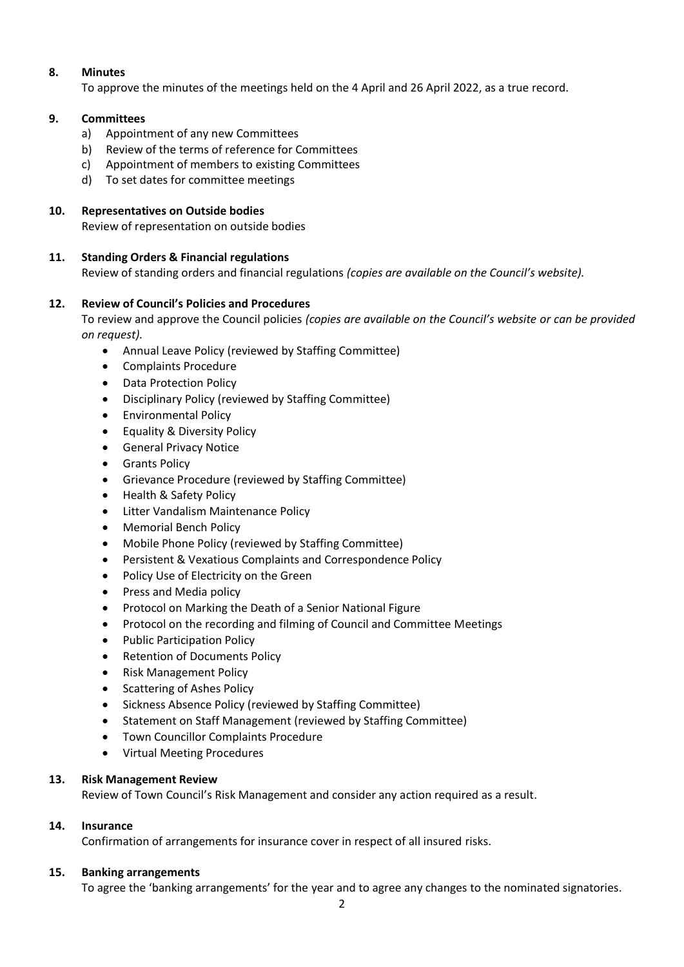## **8. Minutes**

To approve the minutes of the meetings held on the 4 April and 26 April 2022, as a true record.

#### **9. Committees**

- a) Appointment of any new Committees
- b) Review of the terms of reference for Committees
- c) Appointment of members to existing Committees
- d) To set dates for committee meetings

#### **10. Representatives on Outside bodies**

Review of representation on outside bodies

### **11. Standing Orders & Financial regulations**

Review of standing orders and financial regulations *(copies are available on the Council's website).*

### **12. Review of Council's Policies and Procedures**

To review and approve the Council policies *(copies are available on the Council's website or can be provided on request).*

- Annual Leave Policy (reviewed by Staffing Committee)
- Complaints Procedure
- Data Protection Policy
- Disciplinary Policy (reviewed by Staffing Committee)
- Environmental Policy
- Equality & Diversity Policy
- General Privacy Notice
- Grants Policy
- Grievance Procedure (reviewed by Staffing Committee)
- Health & Safety Policy
- Litter Vandalism Maintenance Policy
- Memorial Bench Policy
- Mobile Phone Policy (reviewed by Staffing Committee)
- Persistent & Vexatious Complaints and Correspondence Policy
- Policy Use of Electricity on the Green
- Press and Media policy
- Protocol on Marking the Death of a Senior National Figure
- Protocol on the recording and filming of Council and Committee Meetings
- Public Participation Policy
- Retention of Documents Policy
- Risk Management Policy
- Scattering of Ashes Policy
- Sickness Absence Policy (reviewed by Staffing Committee)
- Statement on Staff Management (reviewed by Staffing Committee)
- Town Councillor Complaints Procedure
- Virtual Meeting Procedures

#### **13. Risk Management Review**

Review of Town Council's Risk Management and consider any action required as a result.

## **14. Insurance**

Confirmation of arrangements for insurance cover in respect of all insured risks.

#### **15. Banking arrangements**

To agree the 'banking arrangements' for the year and to agree any changes to the nominated signatories.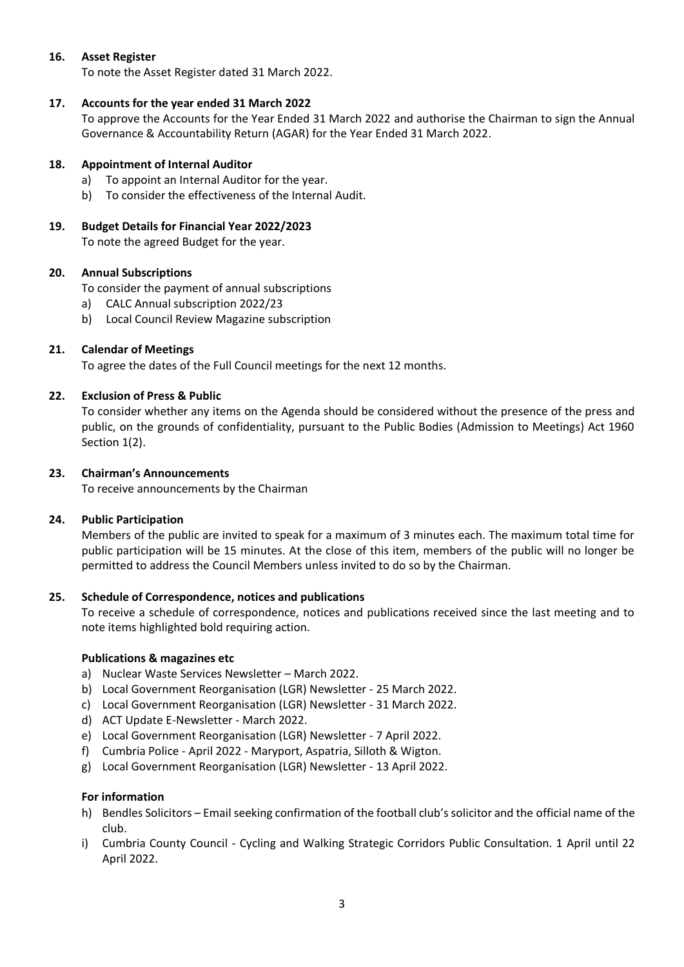## **16. Asset Register**

To note the Asset Register dated 31 March 2022.

#### **17. Accounts for the year ended 31 March 2022**

To approve the Accounts for the Year Ended 31 March 2022 and authorise the Chairman to sign the Annual Governance & Accountability Return (AGAR) for the Year Ended 31 March 2022.

#### **18. Appointment of Internal Auditor**

- a) To appoint an Internal Auditor for the year.
- b) To consider the effectiveness of the Internal Audit.

## **19. Budget Details for Financial Year 2022/2023**

To note the agreed Budget for the year.

### **20. Annual Subscriptions**

To consider the payment of annual subscriptions

- a) CALC Annual subscription 2022/23
- b) Local Council Review Magazine subscription

### **21. Calendar of Meetings**

To agree the dates of the Full Council meetings for the next 12 months.

### **22. Exclusion of Press & Public**

To consider whether any items on the Agenda should be considered without the presence of the press and public, on the grounds of confidentiality, pursuant to the Public Bodies (Admission to Meetings) Act 1960 Section 1(2).

#### **23. Chairman's Announcements**

To receive announcements by the Chairman

#### **24. Public Participation**

Members of the public are invited to speak for a maximum of 3 minutes each. The maximum total time for public participation will be 15 minutes. At the close of this item, members of the public will no longer be permitted to address the Council Members unless invited to do so by the Chairman.

#### **25. Schedule of Correspondence, notices and publications**

To receive a schedule of correspondence, notices and publications received since the last meeting and to note items highlighted bold requiring action.

#### **Publications & magazines etc**

- a) Nuclear Waste Services Newsletter March 2022.
- b) Local Government Reorganisation (LGR) Newsletter 25 March 2022.
- c) Local Government Reorganisation (LGR) Newsletter 31 March 2022.
- d) ACT Update E-Newsletter March 2022.
- e) Local Government Reorganisation (LGR) Newsletter 7 April 2022.
- f) Cumbria Police April 2022 Maryport, Aspatria, Silloth & Wigton.
- g) Local Government Reorganisation (LGR) Newsletter 13 April 2022.

#### **For information**

- h) Bendles Solicitors Email seeking confirmation of the football club's solicitor and the official name of the club.
- i) Cumbria County Council Cycling and Walking Strategic Corridors Public Consultation. 1 April until 22 April 2022.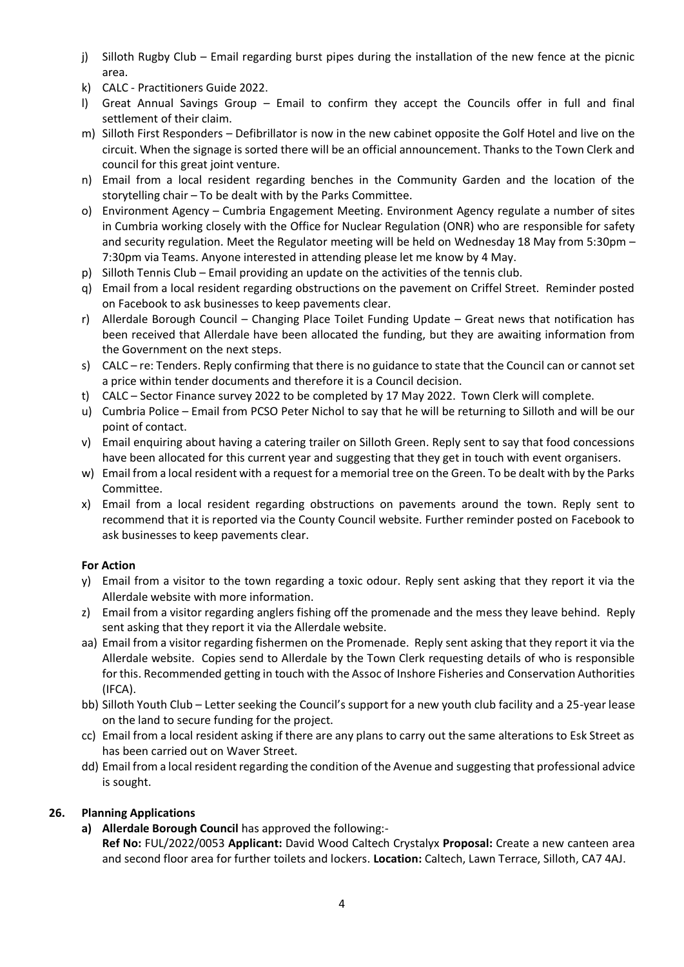- j) Silloth Rugby Club Email regarding burst pipes during the installation of the new fence at the picnic area.
- k) CALC Practitioners Guide 2022.
- l) Great Annual Savings Group Email to confirm they accept the Councils offer in full and final settlement of their claim.
- m) Silloth First Responders Defibrillator is now in the new cabinet opposite the Golf Hotel and live on the circuit. When the signage is sorted there will be an official announcement. Thanks to the Town Clerk and council for this great joint venture.
- n) Email from a local resident regarding benches in the Community Garden and the location of the storytelling chair – To be dealt with by the Parks Committee.
- o) Environment Agency Cumbria Engagement Meeting. Environment Agency regulate a number of sites in Cumbria working closely with the Office for Nuclear Regulation (ONR) who are responsible for safety and security regulation. Meet the Regulator meeting will be held on Wednesday 18 May from 5:30pm – 7:30pm via Teams. Anyone interested in attending please let me know by 4 May.
- p) Silloth Tennis Club Email providing an update on the activities of the tennis club.
- q) Email from a local resident regarding obstructions on the pavement on Criffel Street. Reminder posted on Facebook to ask businesses to keep pavements clear.
- r) Allerdale Borough Council Changing Place Toilet Funding Update Great news that notification has been received that Allerdale have been allocated the funding, but they are awaiting information from the Government on the next steps.
- s) CALC re: Tenders. Reply confirming that there is no guidance to state that the Council can or cannot set a price within tender documents and therefore it is a Council decision.
- t) CALC Sector Finance survey 2022 to be completed by 17 May 2022. Town Clerk will complete.
- u) Cumbria Police Email from PCSO Peter Nichol to say that he will be returning to Silloth and will be our point of contact.
- v) Email enquiring about having a catering trailer on Silloth Green. Reply sent to say that food concessions have been allocated for this current year and suggesting that they get in touch with event organisers.
- w) Email from a local resident with a request for a memorial tree on the Green. To be dealt with by the Parks Committee.
- x) Email from a local resident regarding obstructions on pavements around the town. Reply sent to recommend that it is reported via the County Council website. Further reminder posted on Facebook to ask businesses to keep pavements clear.

#### **For Action**

- y) Email from a visitor to the town regarding a toxic odour. Reply sent asking that they report it via the Allerdale website with more information.
- z) Email from a visitor regarding anglers fishing off the promenade and the mess they leave behind. Reply sent asking that they report it via the Allerdale website.
- aa) Email from a visitor regarding fishermen on the Promenade. Reply sent asking that they report it via the Allerdale website. Copies send to Allerdale by the Town Clerk requesting details of who is responsible for this. Recommended getting in touch with the Assoc of Inshore Fisheries and Conservation Authorities (IFCA).
- bb) Silloth Youth Club Letter seeking the Council's support for a new youth club facility and a 25-year lease on the land to secure funding for the project.
- cc) Email from a local resident asking if there are any plans to carry out the same alterations to Esk Street as has been carried out on Waver Street.
- dd) Email from a local resident regarding the condition of the Avenue and suggesting that professional advice is sought.

## **26. Planning Applications**

- **a) Allerdale Borough Council** has approved the following:-
	- **Ref No:** FUL/2022/0053 **Applicant:** David Wood Caltech Crystalyx **Proposal:** Create a new canteen area and second floor area for further toilets and lockers. **Location:** Caltech, Lawn Terrace, Silloth, CA7 4AJ.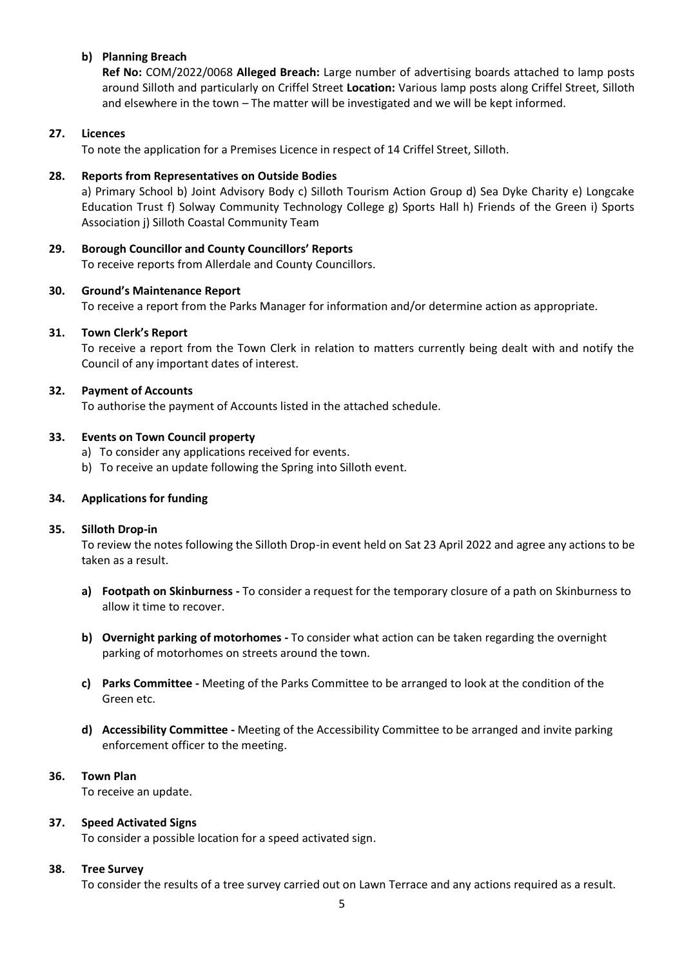## **b) Planning Breach**

**Ref No:** COM/2022/0068 **Alleged Breach:** Large number of advertising boards attached to lamp posts around Silloth and particularly on Criffel Street **Location:** Various lamp posts along Criffel Street, Silloth and elsewhere in the town – The matter will be investigated and we will be kept informed.

#### **27. Licences**

To note the application for a Premises Licence in respect of 14 Criffel Street, Silloth.

#### **28. Reports from Representatives on Outside Bodies**

a) Primary School b) Joint Advisory Body c) Silloth Tourism Action Group d) Sea Dyke Charity e) Longcake Education Trust f) Solway Community Technology College g) Sports Hall h) Friends of the Green i) Sports Association j) Silloth Coastal Community Team

**29. Borough Councillor and County Councillors' Reports**

To receive reports from Allerdale and County Councillors.

#### **30. Ground's Maintenance Report**

To receive a report from the Parks Manager for information and/or determine action as appropriate.

#### **31. Town Clerk's Report**

To receive a report from the Town Clerk in relation to matters currently being dealt with and notify the Council of any important dates of interest.

#### **32. Payment of Accounts**

To authorise the payment of Accounts listed in the attached schedule.

#### **33. Events on Town Council property**

- a) To consider any applications received for events.
- b) To receive an update following the Spring into Silloth event.

#### **34. Applications for funding**

#### **35. Silloth Drop-in**

To review the notes following the Silloth Drop-in event held on Sat 23 April 2022 and agree any actions to be taken as a result.

- **a) Footpath on Skinburness -** To consider a request for the temporary closure of a path on Skinburness to allow it time to recover.
- **b) Overnight parking of motorhomes -** To consider what action can be taken regarding the overnight parking of motorhomes on streets around the town.
- **c) Parks Committee -** Meeting of the Parks Committee to be arranged to look at the condition of the Green etc.
- **d) Accessibility Committee -** Meeting of the Accessibility Committee to be arranged and invite parking enforcement officer to the meeting.

#### **36. Town Plan**

To receive an update.

## **37. Speed Activated Signs**

To consider a possible location for a speed activated sign.

#### **38. Tree Survey**

To consider the results of a tree survey carried out on Lawn Terrace and any actions required as a result.